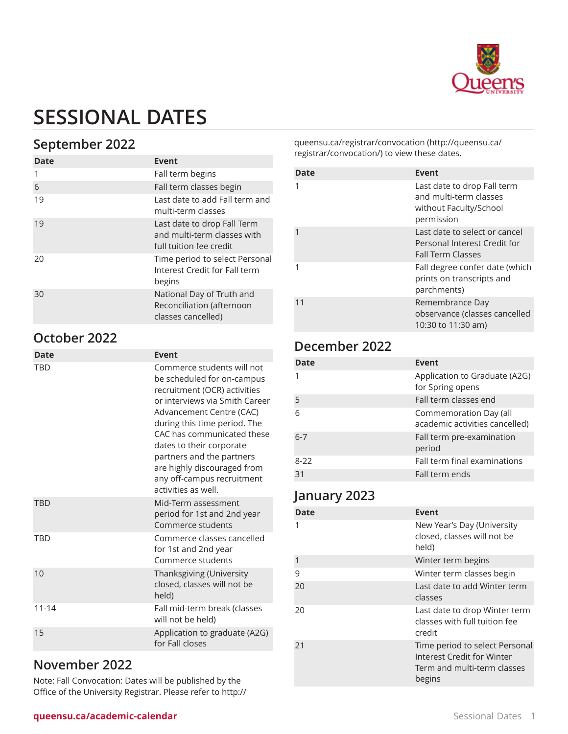

# **SESSIONAL DATES**

# **September 2022**

| Date | Event                                                                                 |
|------|---------------------------------------------------------------------------------------|
|      |                                                                                       |
| 1    | Fall term begins                                                                      |
| 6    | Fall term classes begin                                                               |
| 19   | Last date to add Fall term and<br>multi-term classes                                  |
| 19   | Last date to drop Fall Term<br>and multi-term classes with<br>full tuition fee credit |
| 20   | Time period to select Personal<br>Interest Credit for Fall term<br>begins             |
| 30   | National Day of Truth and<br>Reconciliation (afternoon<br>classes cancelled)          |

### **October 2022**

| <b>Date</b> | Event                                                                                                                                                                                                                                                                                                                                                             |
|-------------|-------------------------------------------------------------------------------------------------------------------------------------------------------------------------------------------------------------------------------------------------------------------------------------------------------------------------------------------------------------------|
| TBD         | Commerce students will not<br>be scheduled for on-campus<br>recruitment (OCR) activities<br>or interviews via Smith Career<br>Advancement Centre (CAC)<br>during this time period. The<br>CAC has communicated these<br>dates to their corporate<br>partners and the partners<br>are highly discouraged from<br>any off-campus recruitment<br>activities as well. |
| <b>TRD</b>  | Mid-Term assessment<br>period for 1st and 2nd year<br>Commerce students                                                                                                                                                                                                                                                                                           |
| TRD         | Commerce classes cancelled<br>for 1st and 2nd year<br>Commerce students                                                                                                                                                                                                                                                                                           |
| 10          | Thanksgiving (University<br>closed, classes will not be<br>held)                                                                                                                                                                                                                                                                                                  |
| $11 - 14$   | Fall mid-term break (classes<br>will not be held)                                                                                                                                                                                                                                                                                                                 |
| 15          | Application to graduate (A2G)<br>for Fall closes                                                                                                                                                                                                                                                                                                                  |
|             |                                                                                                                                                                                                                                                                                                                                                                   |

#### **November 2022**

Note: Fall Convocation: Dates will be published by the Office of the University Registrar. Please refer to [http://](http://queensu.ca/registrar/convocation/) [queensu.ca/registrar/convocation](http://queensu.ca/registrar/convocation/) [\(http://queensu.ca/](http://queensu.ca/registrar/convocation/) [registrar/convocation/](http://queensu.ca/registrar/convocation/)) to view these dates.

| Date | Event                                                                                         |
|------|-----------------------------------------------------------------------------------------------|
|      | Last date to drop Fall term<br>and multi-term classes<br>without Faculty/School<br>permission |
|      | Last date to select or cancel<br>Personal Interest Credit for<br><b>Fall Term Classes</b>     |
|      | Fall degree confer date (which<br>prints on transcripts and<br>parchments)                    |
| 11   | Remembrance Day<br>observance (classes cancelled<br>10:30 to 11:30 am)                        |

# **December 2022**

| Date    | <b>Event</b>                                             |
|---------|----------------------------------------------------------|
|         | Application to Graduate (A2G)<br>for Spring opens        |
| 5       | Fall term classes end                                    |
| 6       | Commemoration Day (all<br>academic activities cancelled) |
| $6 - 7$ | Fall term pre-examination<br>period                      |
| $8-22$  | Fall term final examinations                             |
| 31      | Fall term ends                                           |

### **January 2023**

| Date         | <b>Event</b>                                                                                                 |
|--------------|--------------------------------------------------------------------------------------------------------------|
|              | New Year's Day (University<br>closed, classes will not be<br>held)                                           |
| $\mathbf{1}$ | Winter term begins                                                                                           |
| 9            | Winter term classes begin                                                                                    |
| 20           | Last date to add Winter term<br>classes                                                                      |
| 20           | Last date to drop Winter term<br>classes with full tuition fee<br>credit                                     |
| 21           | Time period to select Personal<br><b>Interest Credit for Winter</b><br>Term and multi-term classes<br>begins |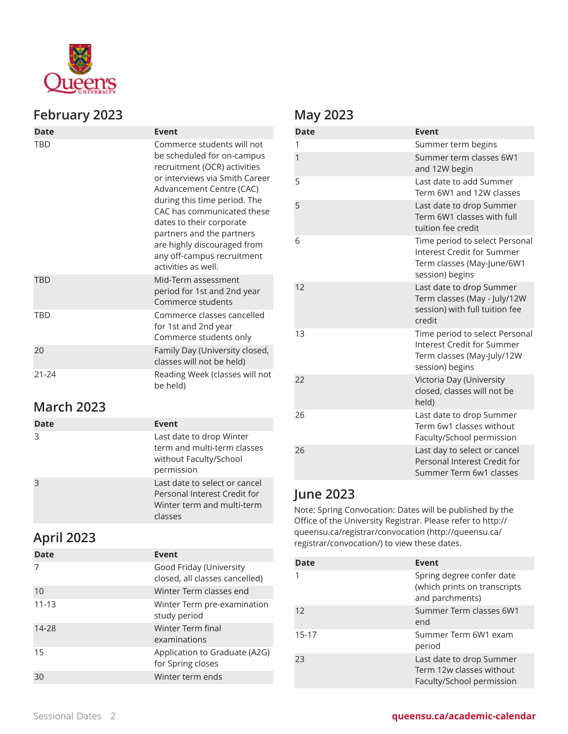

#### **February 2023**

| Date       | Event                                                                                                                                                                                                                                                                                                                                                             |
|------------|-------------------------------------------------------------------------------------------------------------------------------------------------------------------------------------------------------------------------------------------------------------------------------------------------------------------------------------------------------------------|
| TBD        | Commerce students will not<br>be scheduled for on-campus<br>recruitment (OCR) activities<br>or interviews via Smith Career<br>Advancement Centre (CAC)<br>during this time period. The<br>CAC has communicated these<br>dates to their corporate<br>partners and the partners<br>are highly discouraged from<br>any off-campus recruitment<br>activities as well. |
| <b>TRD</b> | Mid-Term assessment<br>period for 1st and 2nd year<br>Commerce students                                                                                                                                                                                                                                                                                           |
| TRD        | Commerce classes cancelled<br>for 1st and 2nd year<br>Commerce students only                                                                                                                                                                                                                                                                                      |
| 20         | Family Day (University closed,<br>classes will not be held)                                                                                                                                                                                                                                                                                                       |
| 21-24      | Reading Week (classes will not<br>be held)                                                                                                                                                                                                                                                                                                                        |

# **March 2023**

| Date | Event                                                                                                  |
|------|--------------------------------------------------------------------------------------------------------|
| 3    | Last date to drop Winter<br>term and multi-term classes<br>without Faculty/School<br>permission        |
|      | Last date to select or cancel<br>Personal Interest Credit for<br>Winter term and multi-term<br>classes |

# **April 2023**

| Date      | Event                                                     |
|-----------|-----------------------------------------------------------|
|           | Good Friday (University<br>closed, all classes cancelled) |
| 10        | Winter Term classes end                                   |
| $11 - 13$ | Winter Term pre-examination<br>study period               |
| 14-28     | Winter Term final<br>examinations                         |
| 15        | Application to Graduate (A2G)<br>for Spring closes        |
|           | Winter term ends                                          |

# **May 2023**

| <b>Date</b> | <b>Event</b>                                                                                                  |
|-------------|---------------------------------------------------------------------------------------------------------------|
| 1           | Summer term begins                                                                                            |
| 1           | Summer term classes 6W1<br>and 12W begin                                                                      |
| 5           | Last date to add Summer<br>Term 6W1 and 12W classes                                                           |
| 5           | Last date to drop Summer<br>Term 6W1 classes with full<br>tuition fee credit                                  |
| 6           | Time period to select Personal<br>Interest Credit for Summer<br>Term classes (May-June/6W1<br>session) begins |
| 12          | Last date to drop Summer<br>Term classes (May - July/12W<br>session) with full tuition fee<br>credit          |
| 13          | Time period to select Personal<br>Interest Credit for Summer<br>Term classes (May-July/12W<br>session) begins |
| 22          | Victoria Day (University<br>closed, classes will not be<br>held)                                              |
| 26          | Last date to drop Summer<br>Term 6w1 classes without<br>Faculty/School permission                             |
| 26          | Last day to select or cancel<br>Personal Interest Credit for<br>Summer Term 6w1 classes                       |

# **June 2023**

Note: Spring Convocation: Dates will be published by the Office of the University Registrar. Please refer to [http://](http://queensu.ca/registrar/convocation/) [queensu.ca/registrar/convocation](http://queensu.ca/registrar/convocation/) [\(http://queensu.ca/](http://queensu.ca/registrar/convocation/) [registrar/convocation/](http://queensu.ca/registrar/convocation/)) to view these dates.

| <b>Date</b> | <b>Event</b>                                                                      |
|-------------|-----------------------------------------------------------------------------------|
|             | Spring degree confer date<br>(which prints on transcripts<br>and parchments)      |
| 12          | Summer Term classes 6W1<br>end                                                    |
| $15 - 17$   | Summer Term 6W1 exam<br>period                                                    |
| 23          | Last date to drop Summer<br>Term 12w classes without<br>Faculty/School permission |